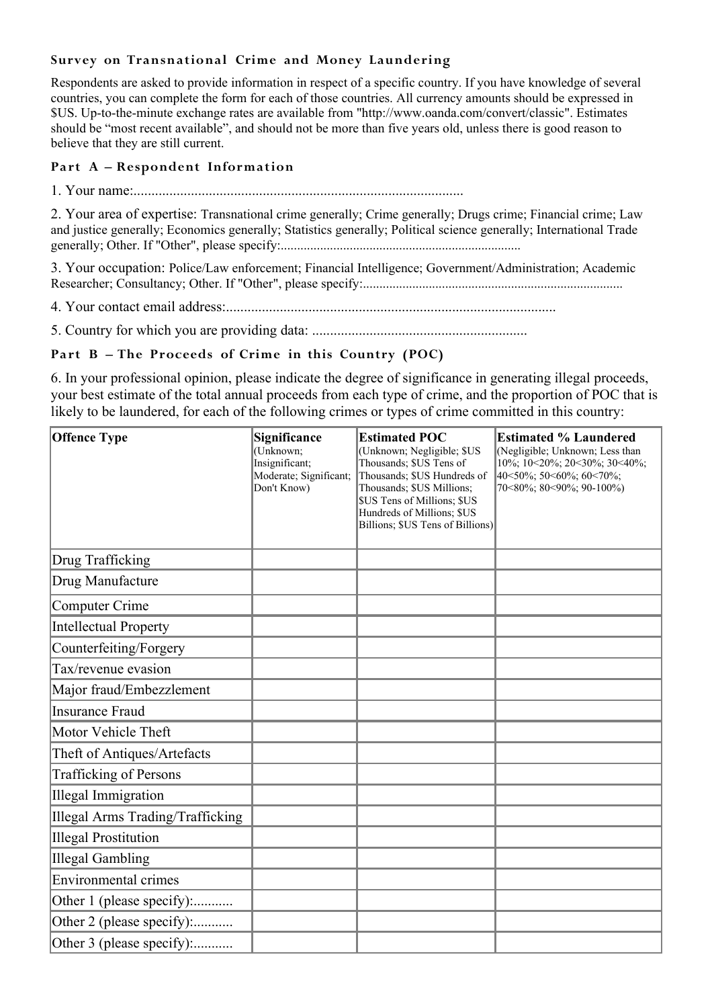# **Survey on Transnational Crime and Money Laundering**

Respondents are asked to provide information in respect of a specific country. If you have knowledge of several countries, you can complete the form for each of those countries. All currency amounts should be expressed in \$US. Up-to-the-minute exchange rates are available from "http://www.oanda.com/convert/classic". Estimates should be "most recent available", and should not be more than five years old, unless there is good reason to believe that they are still current.

### **Part A – Respondent Information**

1. Your name:............................................................................................

2. Your area of expertise: Transnational crime generally; Crime generally; Drugs crime; Financial crime; Law and justice generally; Economics generally; Statistics generally; Political science generally; International Trade generally; Other. If "Other", please specify:.........................................................................

3. Your occupation: Police/Law enforcement; Financial Intelligence; Government/Administration; Academic Researcher; Consultancy; Other. If "Other", please specify:...............................................................................

4. Your contact email address:............................................................................................

5. Country for which you are providing data: ............................................................

# **Part B – The Proceeds of Crime in this Country (POC)**

6. In your professional opinion, please indicate the degree of significance in generating illegal proceeds, your best estimate of the total annual proceeds from each type of crime, and the proportion of POC that is likely to be laundered, for each of the following crimes or types of crime committed in this country:

| <b>Offence Type</b>              | Significance<br>(Unknown;<br>Insignificant;<br>Moderate; Significant;<br>Don't Know) | <b>Estimated POC</b><br>(Unknown; Negligible; \$US<br>Thousands; \$US Tens of<br>Thousands; \$US Hundreds of<br>Thousands; \$US Millions;<br>\$US Tens of Millions; \$US<br>Hundreds of Millions; \$US<br>Billions; \$US Tens of Billions) | <b>Estimated % Laundered</b><br>(Negligible; Unknown; Less than<br>10%; 10<20%; 20<30%; 30<40%;<br>40<50%; 50<60%; 60<70%;<br>70<80%; 80<90%; 90-100%) |
|----------------------------------|--------------------------------------------------------------------------------------|--------------------------------------------------------------------------------------------------------------------------------------------------------------------------------------------------------------------------------------------|--------------------------------------------------------------------------------------------------------------------------------------------------------|
| Drug Trafficking                 |                                                                                      |                                                                                                                                                                                                                                            |                                                                                                                                                        |
| Drug Manufacture                 |                                                                                      |                                                                                                                                                                                                                                            |                                                                                                                                                        |
| Computer Crime                   |                                                                                      |                                                                                                                                                                                                                                            |                                                                                                                                                        |
| Intellectual Property            |                                                                                      |                                                                                                                                                                                                                                            |                                                                                                                                                        |
| Counterfeiting/Forgery           |                                                                                      |                                                                                                                                                                                                                                            |                                                                                                                                                        |
| Tax/revenue evasion              |                                                                                      |                                                                                                                                                                                                                                            |                                                                                                                                                        |
| Major fraud/Embezzlement         |                                                                                      |                                                                                                                                                                                                                                            |                                                                                                                                                        |
| Insurance Fraud                  |                                                                                      |                                                                                                                                                                                                                                            |                                                                                                                                                        |
| Motor Vehicle Theft              |                                                                                      |                                                                                                                                                                                                                                            |                                                                                                                                                        |
| Theft of Antiques/Artefacts      |                                                                                      |                                                                                                                                                                                                                                            |                                                                                                                                                        |
| <b>Trafficking of Persons</b>    |                                                                                      |                                                                                                                                                                                                                                            |                                                                                                                                                        |
| Illegal Immigration              |                                                                                      |                                                                                                                                                                                                                                            |                                                                                                                                                        |
| Illegal Arms Trading/Trafficking |                                                                                      |                                                                                                                                                                                                                                            |                                                                                                                                                        |
| Illegal Prostitution             |                                                                                      |                                                                                                                                                                                                                                            |                                                                                                                                                        |
| Illegal Gambling                 |                                                                                      |                                                                                                                                                                                                                                            |                                                                                                                                                        |
| Environmental crimes             |                                                                                      |                                                                                                                                                                                                                                            |                                                                                                                                                        |
| Other 1 (please specify):        |                                                                                      |                                                                                                                                                                                                                                            |                                                                                                                                                        |
| Other 2 (please specify):        |                                                                                      |                                                                                                                                                                                                                                            |                                                                                                                                                        |
| Other 3 (please specify):        |                                                                                      |                                                                                                                                                                                                                                            |                                                                                                                                                        |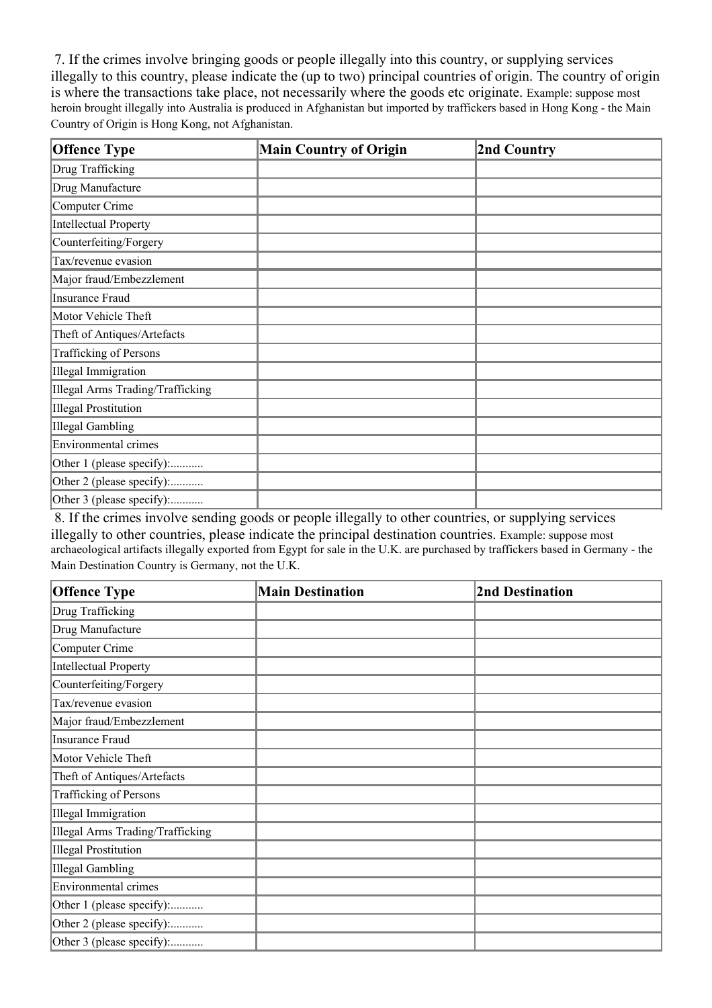7. If the crimes involve bringing goods or people illegally into this country, or supplying services illegally to this country, please indicate the (up to two) principal countries of origin. The country of origin is where the transactions take place, not necessarily where the goods etc originate. Example: suppose most heroin brought illegally into Australia is produced in Afghanistan but imported by traffickers based in Hong Kong - the Main Country of Origin is Hong Kong, not Afghanistan.

| <b>Offence Type</b>              | <b>Main Country of Origin</b> | 2nd Country |
|----------------------------------|-------------------------------|-------------|
| Drug Trafficking                 |                               |             |
| Drug Manufacture                 |                               |             |
| Computer Crime                   |                               |             |
| Intellectual Property            |                               |             |
| Counterfeiting/Forgery           |                               |             |
| Tax/revenue evasion              |                               |             |
| Major fraud/Embezzlement         |                               |             |
| Insurance Fraud                  |                               |             |
| Motor Vehicle Theft              |                               |             |
| Theft of Antiques/Artefacts      |                               |             |
| Trafficking of Persons           |                               |             |
| Illegal Immigration              |                               |             |
| Illegal Arms Trading/Trafficking |                               |             |
| Illegal Prostitution             |                               |             |
| Illegal Gambling                 |                               |             |
| Environmental crimes             |                               |             |
| Other 1 (please specify):        |                               |             |
| Other 2 (please specify):        |                               |             |
| Other 3 (please specify):        |                               |             |

8. If the crimes involve sending goods or people illegally to other countries, or supplying services illegally to other countries, please indicate the principal destination countries. Example: suppose most archaeological artifacts illegally exported from Egypt for sale in the U.K. are purchased by traffickers based in Germany - the Main Destination Country is Germany, not the U.K.

| <b>Offence Type</b>              | <b>Main Destination</b> | <b>2nd Destination</b> |
|----------------------------------|-------------------------|------------------------|
| Drug Trafficking                 |                         |                        |
| Drug Manufacture                 |                         |                        |
| Computer Crime                   |                         |                        |
| <b>Intellectual Property</b>     |                         |                        |
| Counterfeiting/Forgery           |                         |                        |
| Tax/revenue evasion              |                         |                        |
| Major fraud/Embezzlement         |                         |                        |
| <b>Insurance Fraud</b>           |                         |                        |
| Motor Vehicle Theft              |                         |                        |
| Theft of Antiques/Artefacts      |                         |                        |
| <b>Trafficking of Persons</b>    |                         |                        |
| <b>Illegal Immigration</b>       |                         |                        |
| Illegal Arms Trading/Trafficking |                         |                        |
| <b>Illegal Prostitution</b>      |                         |                        |
| Illegal Gambling                 |                         |                        |
| <b>Environmental crimes</b>      |                         |                        |
| Other 1 (please specify):        |                         |                        |
| Other 2 (please specify):        |                         |                        |
| Other 3 (please specify):        |                         |                        |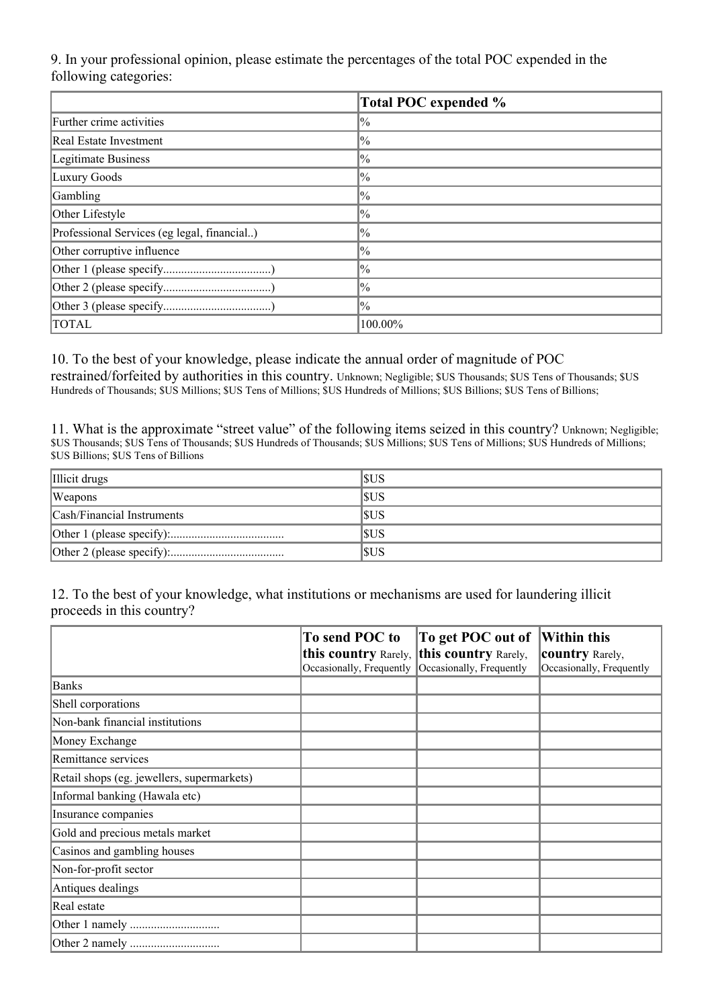9. In your professional opinion, please estimate the percentages of the total POC expended in the following categories:

|                                             | Total POC expended % |
|---------------------------------------------|----------------------|
| Further crime activities                    | $ ^{00}_{0}$         |
| Real Estate Investment                      | $\frac{1}{2}$        |
| Legitimate Business                         | $\frac{1}{2}$        |
| Luxury Goods                                | $\frac{1}{2}$        |
| Gambling                                    | $\frac{1}{2}$        |
| Other Lifestyle                             | $\frac{1}{2}$        |
| Professional Services (eg legal, financial) | $\frac{1}{2}$        |
| Other corruptive influence                  | $\frac{1}{2}$        |
|                                             | $\frac{1}{2}$        |
|                                             | $\frac{1}{2}$        |
|                                             | $\frac{1}{2}$        |
| <b>TOTAL</b>                                | 100.00%              |

10. To the best of your knowledge, please indicate the annual order of magnitude of POC restrained/forfeited by authorities in this country. Unknown; Negligible; \$US Thousands; \$US Tens of Thousands; \$US Hundreds of Thousands; \$US Millions; \$US Tens of Millions; \$US Hundreds of Millions; \$US Billions; \$US Tens of Billions;

11. What is the approximate "street value" of the following items seized in this country? Unknown; Negligible; \$US Thousands; \$US Tens of Thousands; \$US Hundreds of Thousands; \$US Millions; \$US Tens of Millions; \$US Hundreds of Millions; \$US Billions; \$US Tens of Billions

| Illicit drugs              | SUS        |
|----------------------------|------------|
| <b>Weapons</b>             | SUS        |
| Cash/Financial Instruments | SUS        |
|                            | <b>SUS</b> |
|                            | SUS        |

12. To the best of your knowledge, what institutions or mechanisms are used for laundering illicit proceeds in this country?

|                                            | To send POC to                                                        | To get POC out of        | <b>Within this</b>                                 |
|--------------------------------------------|-----------------------------------------------------------------------|--------------------------|----------------------------------------------------|
|                                            | this country Rarely, this country Rarely,<br>Occasionally, Frequently | Occasionally, Frequently | <b>country</b> Rarely,<br>Occasionally, Frequently |
| <b>Banks</b>                               |                                                                       |                          |                                                    |
| Shell corporations                         |                                                                       |                          |                                                    |
| Non-bank financial institutions            |                                                                       |                          |                                                    |
| Money Exchange                             |                                                                       |                          |                                                    |
| Remittance services                        |                                                                       |                          |                                                    |
| Retail shops (eg. jewellers, supermarkets) |                                                                       |                          |                                                    |
| Informal banking (Hawala etc)              |                                                                       |                          |                                                    |
| Insurance companies                        |                                                                       |                          |                                                    |
| Gold and precious metals market            |                                                                       |                          |                                                    |
| Casinos and gambling houses                |                                                                       |                          |                                                    |
| Non-for-profit sector                      |                                                                       |                          |                                                    |
| Antiques dealings                          |                                                                       |                          |                                                    |
| Real estate                                |                                                                       |                          |                                                    |
|                                            |                                                                       |                          |                                                    |
|                                            |                                                                       |                          |                                                    |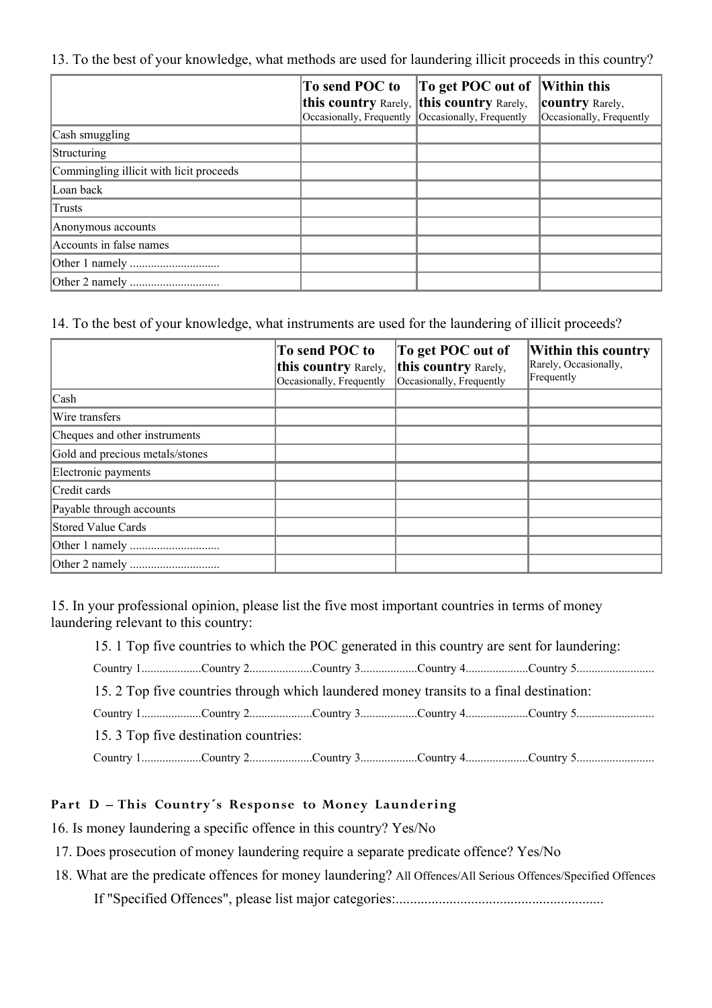13. To the best of your knowledge, what methods are used for laundering illicit proceeds in this country?

|                                         | To send POC to                                     | To get POC out of | Within this              |
|-----------------------------------------|----------------------------------------------------|-------------------|--------------------------|
|                                         | this country Rarely, this country Rarely,          |                   | <b>country</b> Rarely,   |
|                                         | Occasionally, Frequently  Occasionally, Frequently |                   | Occasionally, Frequently |
| Cash smuggling                          |                                                    |                   |                          |
| Structuring                             |                                                    |                   |                          |
| Commingling illicit with licit proceeds |                                                    |                   |                          |
| Loan back                               |                                                    |                   |                          |
| Trusts                                  |                                                    |                   |                          |
| Anonymous accounts                      |                                                    |                   |                          |
| Accounts in false names                 |                                                    |                   |                          |
|                                         |                                                    |                   |                          |
|                                         |                                                    |                   |                          |

14. To the best of your knowledge, what instruments are used for the laundering of illicit proceeds?

|                                 | To send POC to<br>this country Rarely,<br>Occasionally, Frequently | To get POC out of<br>this country Rarely,<br>Occasionally, Frequently | Within this country<br>Rarely, Occasionally,<br>Frequently |
|---------------------------------|--------------------------------------------------------------------|-----------------------------------------------------------------------|------------------------------------------------------------|
| Cash                            |                                                                    |                                                                       |                                                            |
| Wire transfers                  |                                                                    |                                                                       |                                                            |
| Cheques and other instruments   |                                                                    |                                                                       |                                                            |
| Gold and precious metals/stones |                                                                    |                                                                       |                                                            |
| Electronic payments             |                                                                    |                                                                       |                                                            |
| Credit cards                    |                                                                    |                                                                       |                                                            |
| Payable through accounts        |                                                                    |                                                                       |                                                            |
| Stored Value Cards              |                                                                    |                                                                       |                                                            |
|                                 |                                                                    |                                                                       |                                                            |
|                                 |                                                                    |                                                                       |                                                            |

15. In your professional opinion, please list the five most important countries in terms of money laundering relevant to this country:

15. 1 Top five countries to which the POC generated in this country are sent for laundering:

|  |  | 15. 2 Top five countries through which laundered money transits to a final destination: |  |  |  |  |  |
|--|--|-----------------------------------------------------------------------------------------|--|--|--|--|--|
|  |  |                                                                                         |  |  |  |  |  |
|  |  |                                                                                         |  |  |  |  |  |

Country 1....................Country 2.....................Country 3...................Country 4.....................Country 5..........................

15. 3 Top five destination countries:

Country 1....................Country 2.....................Country 3...................Country 4.....................Country 5..........................

# **Part D – This Country´s Response to Money Laundering**

16. Is money laundering a specific offence in this country? Yes/No

17. Does prosecution of money laundering require a separate predicate offence? Yes/No

18. What are the predicate offences for money laundering? All Offences/All Serious Offences/Specified Offences

If "Specified Offences", please list major categories:..........................................................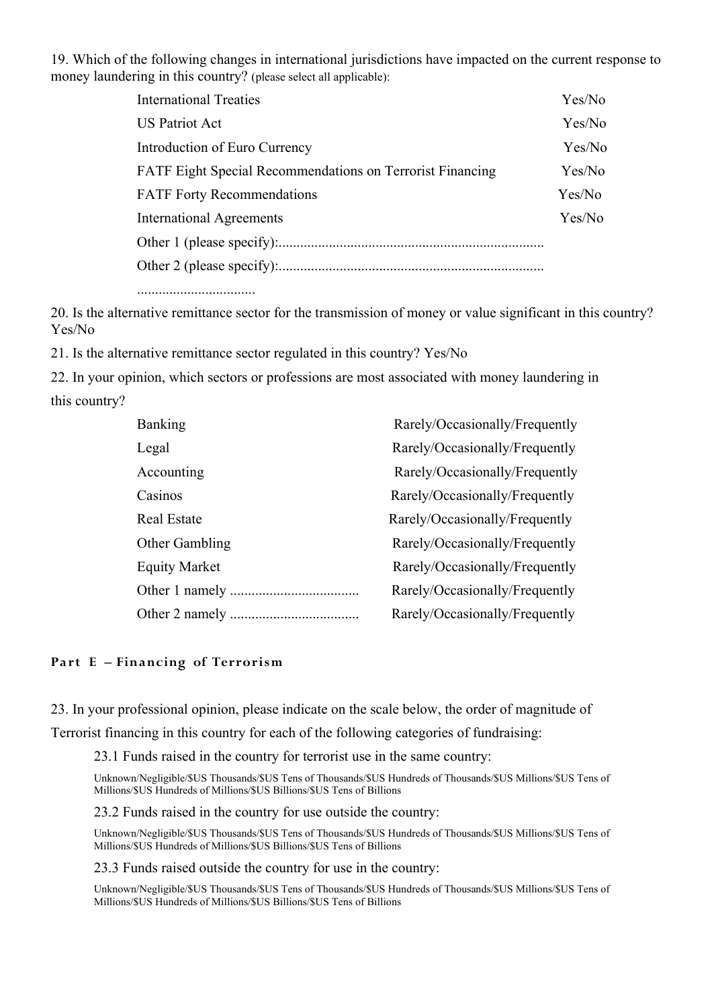19. Which of the following changes in international jurisdictions have impacted on the current response to money laundering in this country? (please select all applicable):

| <b>International Treaties</b>                                    | Yes/No |
|------------------------------------------------------------------|--------|
| <b>US Patriot Act</b>                                            | Yes/No |
| Introduction of Euro Currency                                    | Yes/No |
| <b>FATF Eight Special Recommendations on Terrorist Financing</b> | Yes/No |
| <b>FATF Forty Recommendations</b>                                | Yes/No |
| <b>International Agreements</b>                                  | Yes/No |
|                                                                  |        |
|                                                                  |        |
|                                                                  |        |

.................................

20. Is the alternative remittance sector for the transmission of money or value significant in this country? Yes/No

21. Is the alternative remittance sector regulated in this country? Yes/No

22. In your opinion, which sectors or professions are most associated with money laundering in this country?

| <b>Banking</b>        | Rarely/Occasionally/Frequently |
|-----------------------|--------------------------------|
| Legal                 | Rarely/Occasionally/Frequently |
| Accounting            | Rarely/Occasionally/Frequently |
| Casinos               | Rarely/Occasionally/Frequently |
| <b>Real Estate</b>    | Rarely/Occasionally/Frequently |
| <b>Other Gambling</b> | Rarely/Occasionally/Frequently |
| <b>Equity Market</b>  | Rarely/Occasionally/Frequently |
|                       | Rarely/Occasionally/Frequently |
|                       | Rarely/Occasionally/Frequently |

#### **Part E – Financing of Terrorism**

23. In your professional opinion, please indicate on the scale below, the order of magnitude of

Terrorist financing in this country for each of the following categories of fundraising:

23.1 Funds raised in the country for terrorist use in the same country:

Unknown/Negligible/\$US Thousands/\$US Tens of Thousands/\$US Hundreds of Thousands/\$US Millions/\$US Tens of Millions/\$US Hundreds of Millions/\$US Billions/\$US Tens of Billions

23.2 Funds raised in the country for use outside the country:

Unknown/Negligible/\$US Thousands/\$US Tens of Thousands/\$US Hundreds of Thousands/\$US Millions/\$US Tens of Millions/\$US Hundreds of Millions/\$US Billions/\$US Tens of Billions

23.3 Funds raised outside the country for use in the country:

Unknown/Negligible/\$US Thousands/\$US Tens of Thousands/\$US Hundreds of Thousands/\$US Millions/\$US Tens of Millions/\$US Hundreds of Millions/\$US Billions/\$US Tens of Billions